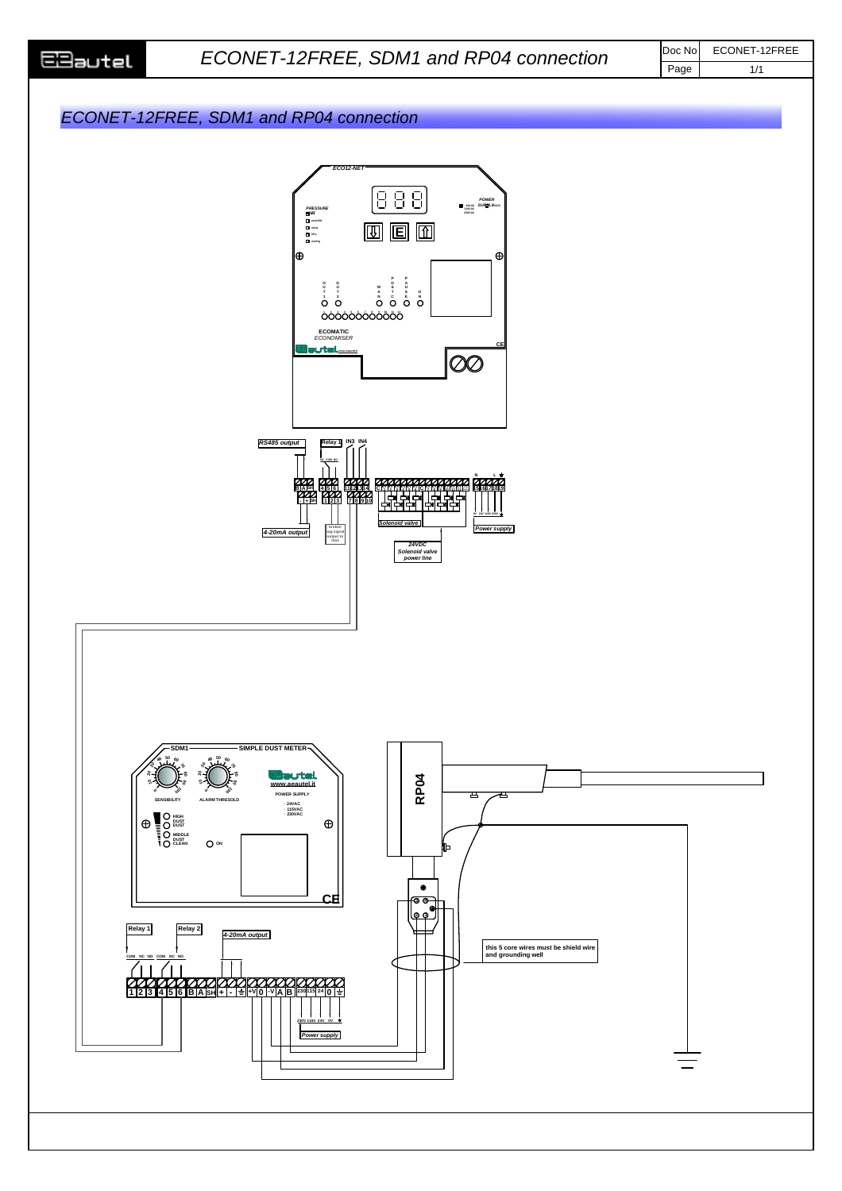